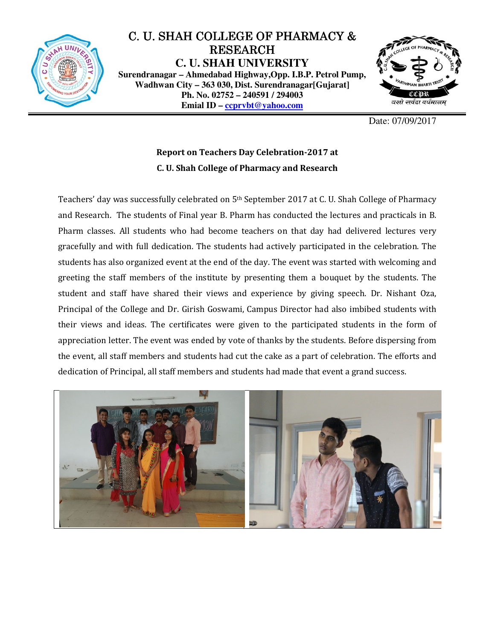

## C. U. SHAH COLLEGE OF PHARMACY & RESEARCH **C. U. SHAH UNIVERSITY Surendranagar – Ahmedabad Highway,Opp. I.B.P. Petrol Pump, Wadhwan City – 363 030, Dist. Surendranagar[Gujarat] Ph. No. 02752 – 240591 / 294003 Emial ID – ccprvbt@yahoo.com**



Date: 07/09/2017

## Report on Teachers Day Celebration-2017 at C. U. Shah College of Pharmacy and Research

Teachers' day was successfully celebrated on 5th September 2017 at C. U. Shah College of Pharmacy and Research. The students of Final year B. Pharm has conducted the lectures and practicals in B. Pharm classes. All students who had become teachers on that day had delivered lectures very gracefully and with full dedication. The students had actively participated in the celebration. The students has also organized event at the end of the day. The event was started with welcoming and greeting the staff members of the institute by presenting them a bouquet by the students. The student and staff have shared their views and experience by giving speech. Dr. Nishant Oza, Principal of the College and Dr. Girish Goswami, Campus Director had also imbibed students with their views and ideas. The certificates were given to the participated students in the form of appreciation letter. The event was ended by vote of thanks by the students. Before dispersing from the event, all staff members and students had cut the cake as a part of celebration. The efforts and dedication of Principal, all staff members and students had made that event a grand success.